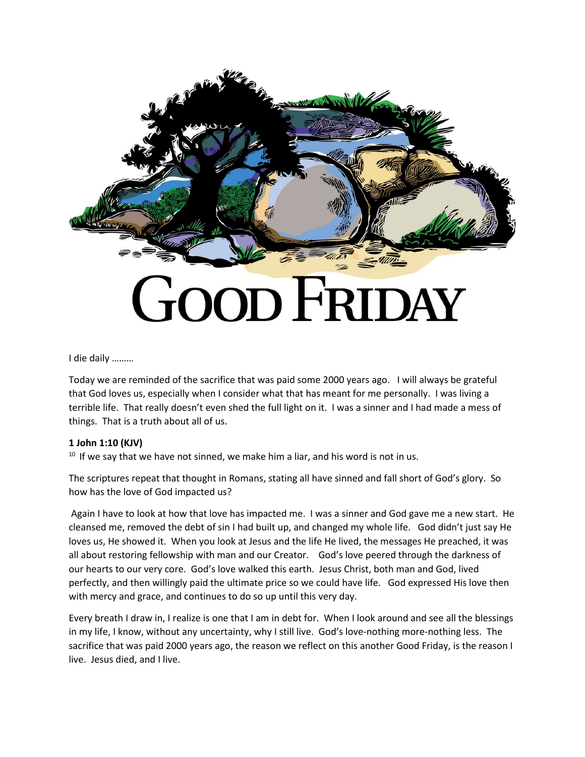

## I die daily ………

Today we are reminded of the sacrifice that was paid some 2000 years ago. I will always be grateful that God loves us, especially when I consider what that has meant for me personally. I was living a terrible life. That really doesn't even shed the full light on it. I was a sinner and I had made a mess of things. That is a truth about all of us.

## **1 John 1:10 (KJV)**

 $10$  If we say that we have not sinned, we make him a liar, and his word is not in us.

The scriptures repeat that thought in Romans, stating all have sinned and fall short of God's glory. So how has the love of God impacted us?

Again I have to look at how that love has impacted me. I was a sinner and God gave me a new start. He cleansed me, removed the debt of sin I had built up, and changed my whole life. God didn't just say He loves us, He showed it. When you look at Jesus and the life He lived, the messages He preached, it was all about restoring fellowship with man and our Creator. God's love peered through the darkness of our hearts to our very core. God's love walked this earth. Jesus Christ, both man and God, lived perfectly, and then willingly paid the ultimate price so we could have life. God expressed His love then with mercy and grace, and continues to do so up until this very day.

Every breath I draw in, I realize is one that I am in debt for. When I look around and see all the blessings in my life, I know, without any uncertainty, why I still live. God's love-nothing more-nothing less. The sacrifice that was paid 2000 years ago, the reason we reflect on this another Good Friday, is the reason I live. Jesus died, and I live.